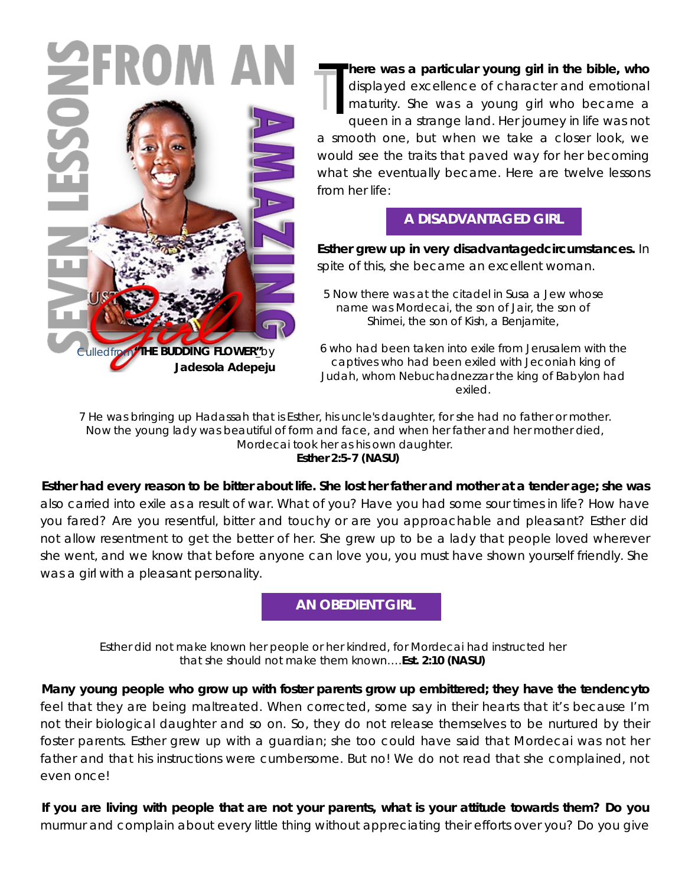

 $\begin{array}{c}\n\hline\n\text{dis}\n\\
\text{m2}\n\\
\hline\n\\
\text{m3}\n\end{array}$ **here was a particular young girl in the bible, who** displayed excellence of character and emotional maturity. She was a young girl who became a queen in a strange land. Her journey in life was not a smooth one, but when we take a closer look, we would see the traits that paved way for her becoming what she eventually became. Here are twelve lessons from her life: T

### **A DISADVANTAGED GIRL**

**Esther grew up in very disadvantagedcircumstances.** In spite of this, she became an excellent woman.

*5 Now there was at the citadel in Susa a Jew whose name was Mordecai, the son of Jair, the son of Shimei, the son of Kish, a Benjamite,*

*6 who had been taken into exile from Jerusalem with the captives who had been exiled with Jeconiah king of Judah, whom Nebuchadnezzar the king of Babylon had exiled.* 

*7 He was bringing up Hadassah that is Esther, his uncle's daughter, for she had no father or mother. Now the young lady was beautiful of form and face, and when her father and her mother died, Mordecai took her as his own daughter. Esther 2:5-7 (NASU)*

**Esther had every reason to be bitter about life. She lost her father and mother at a tender age; she was** also carried into exile as a result of war. What of you? Have you had some sour times in life? How have you fared? Are you resentful, bitter and touchy or are you approachable and pleasant? Esther did not allow resentment to get the better of her. She grew up to be a lady that people loved wherever she went, and we know that before anyone can love you, you must have shown yourself friendly. She was a girl with a pleasant personality.

**AN OBEDIENT GIRL**

*Esther did not make known her people or her kindred, for Mordecai had instructed her that she should not make them known….Est. 2:10 (NASU)*

**Many young people who grow up with foster parents grow up embittered; they have the tendencyto** feel that they are being maltreated. When corrected, some say in their hearts that it's because I'm not their biological daughter and so on. So, they do not release themselves to be nurtured by their foster parents. Esther grew up with a guardian; she too could have said that Mordecai was not her father and that his instructions were cumbersome. But no! We do not read that she complained, not even once!

**If you are living with people that are not your parents, what is your attitude towards them? Do you** murmur and complain about every little thing without appreciating their efforts over you? Do you give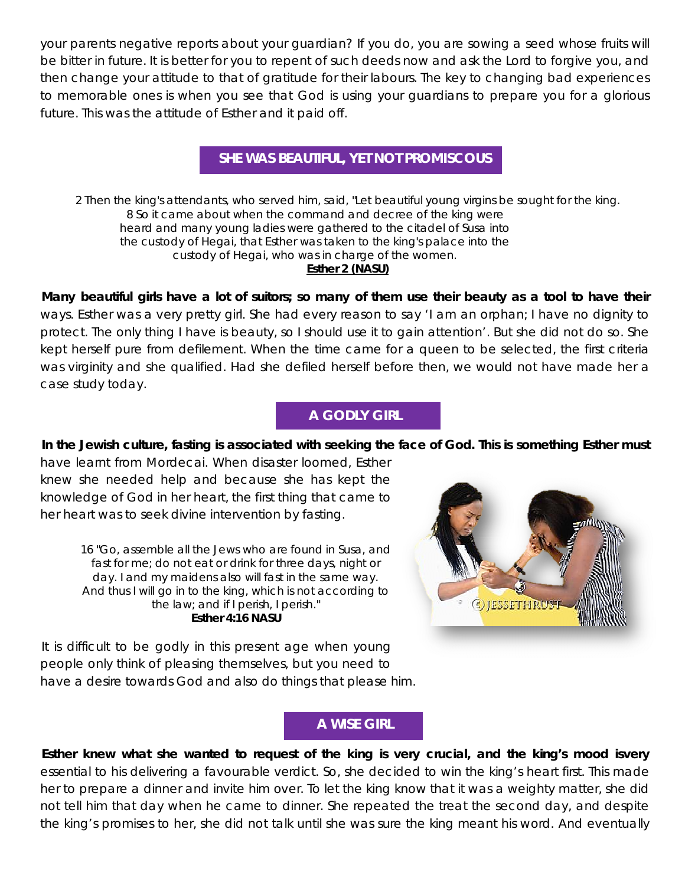your parents negative reports about your guardian? If you do, you are sowing a seed whose fruits will be bitter in future. It is better for you to repent of such deeds now and ask the Lord to forgive you, and then change your attitude to that of gratitude for their labours. The key to changing bad experiences to memorable ones is when you see that God is using your guardians to prepare you for a glorious future. This was the attitude of Esther and it paid off.

# **SHE WAS BEAUTIFUL, YET NOT PROMISCOUS**

*2 Then the king's attendants, who served him, said, "Let beautiful young virgins be sought for the king. 8 So it came about when the command and decree of the king were heard and many young ladies were gathered to the citadel of Susa into the custody of Hegai, that Esther was taken to the king's palace into the custody of Hegai, who was in charge of the women. Esther 2 (NASU)*

**Many beautiful girls have a lot of suitors; so many of them use their beauty as a tool to have their** ways. Esther was a very pretty girl. She had every reason to say 'I am an orphan; I have no dignity to protect. The only thing I have is beauty, so I should use it to gain attention'. But she did not do so. She kept herself pure from defilement. When the time came for a queen to be selected, the first criteria was virginity and she qualified. Had she defiled herself before then, we would not have made her a case study today.

### **A GODLY GIRL**

#### **In the Jewish culture, fasting is associated with seeking the face of God. This is something Esther must**

have learnt from Mordecai. When disaster loomed, Esther knew she needed help and because she has kept the knowledge of God in her heart, the first thing that came to her heart was to seek divine intervention by fasting.

> *16 "Go, assemble all the Jews who are found in Susa, and*  fast for me; do not eat or drink for three days, night or *day. I and my maidens also will fast in the same way. And thus I will go in to the king, which is not according to the law; and if I perish, I perish." Esther 4:16 NASU*

It is difficult to be godly in this present age when young people only think of pleasing themselves, but you need to have a desire towards God and also do things that please him.



## **A WISE GIRL**

**Esther knew what she wanted to request of the king is very crucial, and the king's mood isvery** essential to his delivering a favourable verdict. So, she decided to win the king's heart first. This made her to prepare a dinner and invite him over. To let the king know that it was a weighty matter, she did not tell him that day when he came to dinner. She repeated the treat the second day, and despite the king's promises to her, she did not talk until she was sure the king meant his word. And eventually